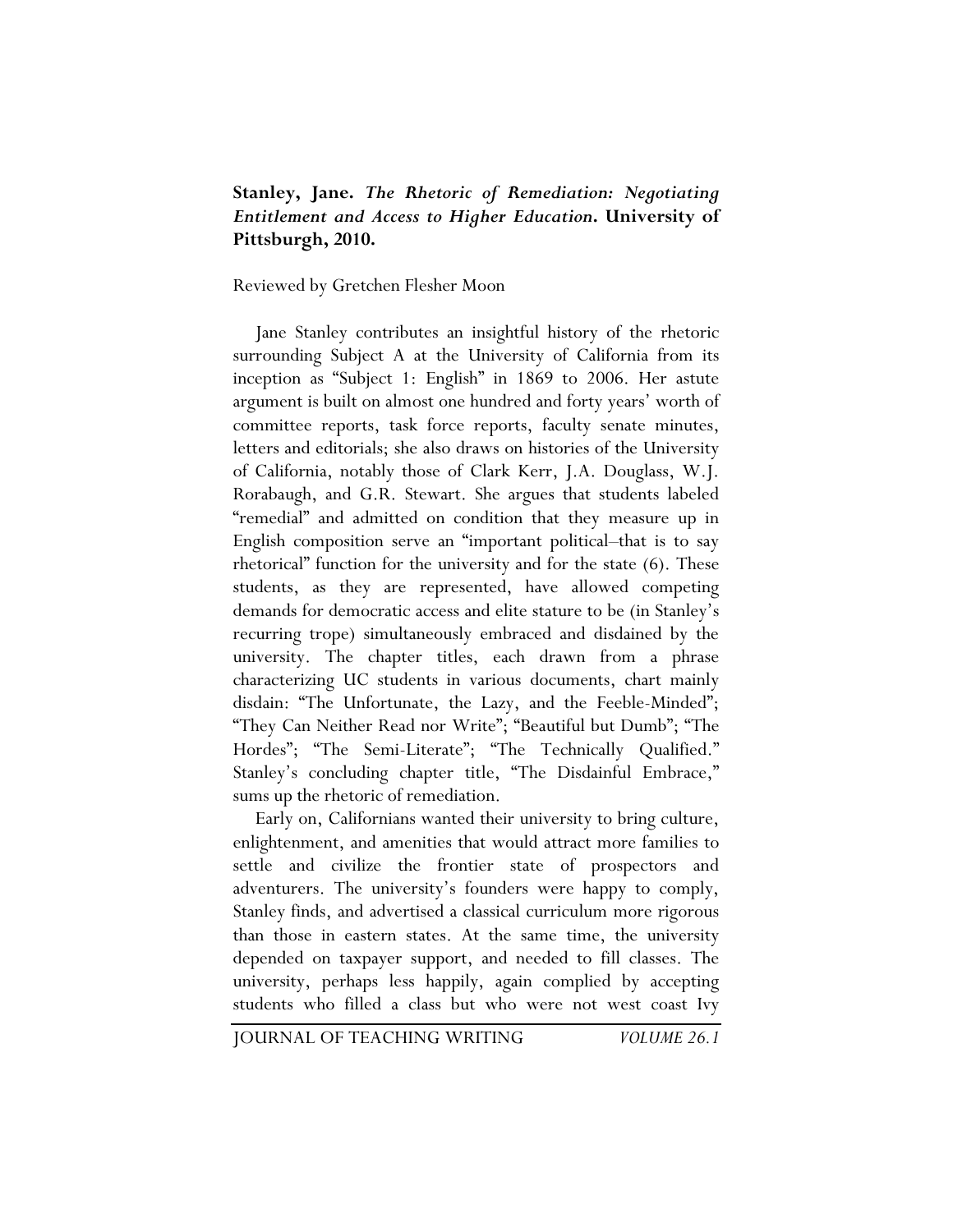## **Stanley, Jane.** *The Rhetoric of Remediation: Negotiating Entitlement and Access to Higher Education***. University of Pittsburgh, 2010.**

## Reviewed by Gretchen Flesher Moon

Jane Stanley contributes an insightful history of the rhetoric surrounding Subject A at the University of California from its inception as "Subject 1: English" in 1869 to 2006. Her astute argument is built on almost one hundred and forty years' worth of committee reports, task force reports, faculty senate minutes, letters and editorials; she also draws on histories of the University of California, notably those of Clark Kerr, J.A. Douglass, W.J. Rorabaugh, and G.R. Stewart. She argues that students labeled "remedial" and admitted on condition that they measure up in English composition serve an "important political–that is to say rhetorical" function for the university and for the state (6). These students, as they are represented, have allowed competing demands for democratic access and elite stature to be (in Stanley's recurring trope) simultaneously embraced and disdained by the university. The chapter titles, each drawn from a phrase characterizing UC students in various documents, chart mainly disdain: "The Unfortunate, the Lazy, and the Feeble-Minded"; "They Can Neither Read nor Write"; "Beautiful but Dumb"; "The Hordes"; "The Semi-Literate"; "The Technically Qualified." Stanley's concluding chapter title, "The Disdainful Embrace," sums up the rhetoric of remediation.

Early on, Californians wanted their university to bring culture, enlightenment, and amenities that would attract more families to settle and civilize the frontier state of prospectors and adventurers. The university's founders were happy to comply, Stanley finds, and advertised a classical curriculum more rigorous than those in eastern states. At the same time, the university depended on taxpayer support, and needed to fill classes. The university, perhaps less happily, again complied by accepting students who filled a class but who were not west coast Ivy

JOURNAL OF TEACHING WRITING *VOLUME 26.1*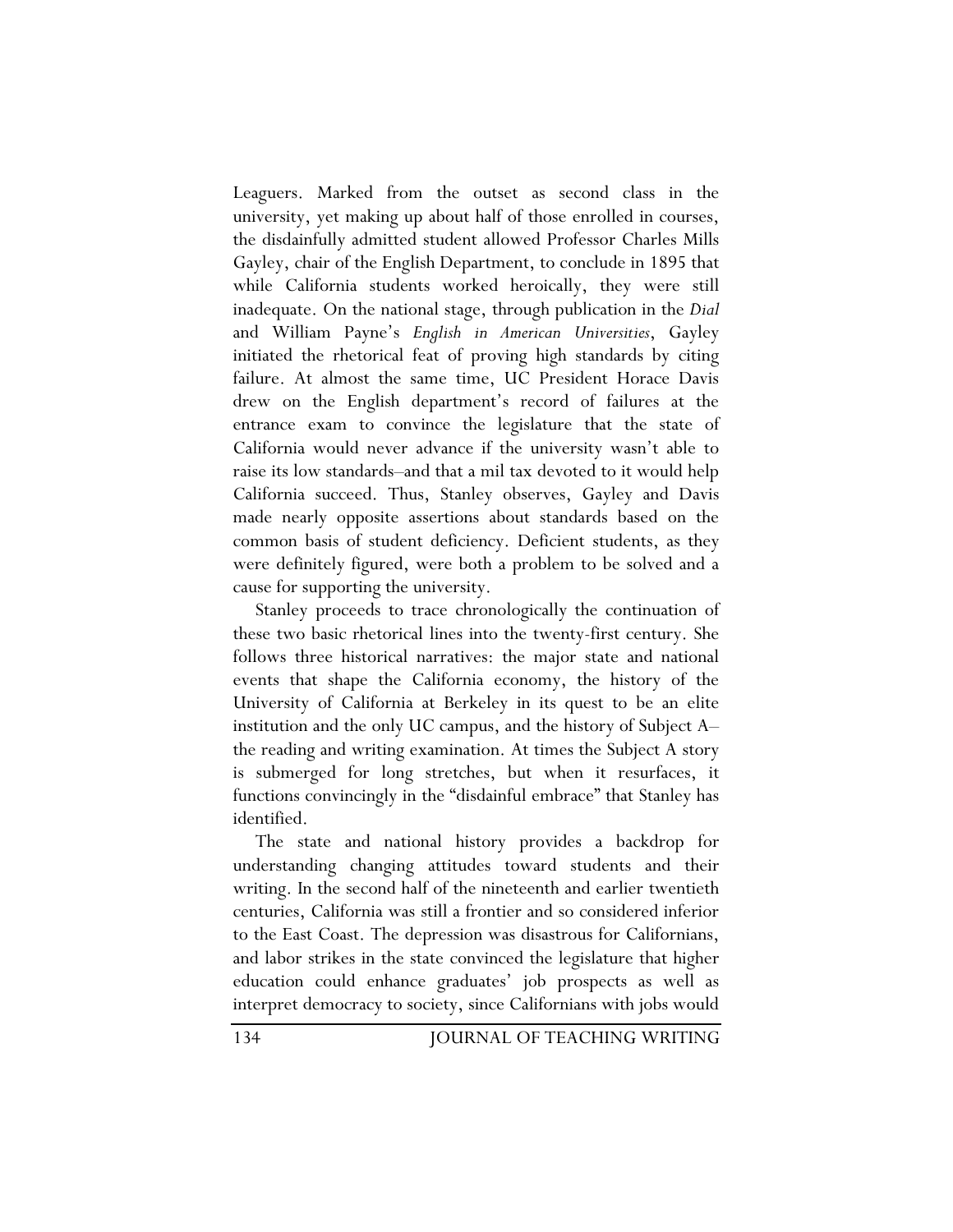Leaguers. Marked from the outset as second class in the university, yet making up about half of those enrolled in courses, the disdainfully admitted student allowed Professor Charles Mills Gayley, chair of the English Department, to conclude in 1895 that while California students worked heroically, they were still inadequate. On the national stage, through publication in the *Dial* and William Payne's *English in American Universities*, Gayley initiated the rhetorical feat of proving high standards by citing failure. At almost the same time, UC President Horace Davis drew on the English department's record of failures at the entrance exam to convince the legislature that the state of California would never advance if the university wasn't able to raise its low standards–and that a mil tax devoted to it would help California succeed. Thus, Stanley observes, Gayley and Davis made nearly opposite assertions about standards based on the common basis of student deficiency. Deficient students, as they were definitely figured, were both a problem to be solved and a cause for supporting the university.

Stanley proceeds to trace chronologically the continuation of these two basic rhetorical lines into the twenty-first century. She follows three historical narratives: the major state and national events that shape the California economy, the history of the University of California at Berkeley in its quest to be an elite institution and the only UC campus, and the history of Subject A– the reading and writing examination. At times the Subject A story is submerged for long stretches, but when it resurfaces, it functions convincingly in the "disdainful embrace" that Stanley has identified.

The state and national history provides a backdrop for understanding changing attitudes toward students and their writing. In the second half of the nineteenth and earlier twentieth centuries, California was still a frontier and so considered inferior to the East Coast. The depression was disastrous for Californians, and labor strikes in the state convinced the legislature that higher education could enhance graduates' job prospects as well as interpret democracy to society, since Californians with jobs would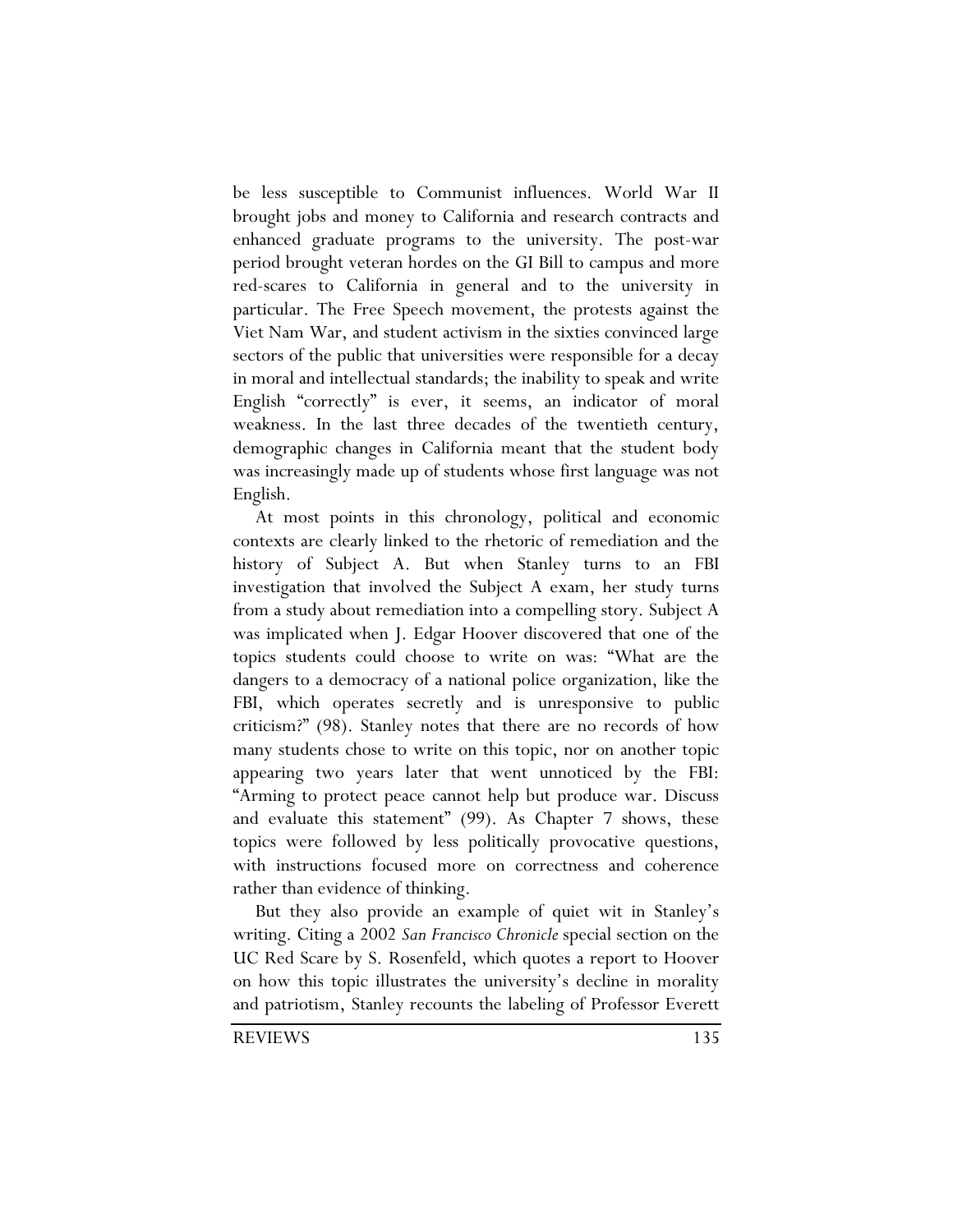be less susceptible to Communist influences. World War II brought jobs and money to California and research contracts and enhanced graduate programs to the university. The post-war period brought veteran hordes on the GI Bill to campus and more red-scares to California in general and to the university in particular. The Free Speech movement, the protests against the Viet Nam War, and student activism in the sixties convinced large sectors of the public that universities were responsible for a decay in moral and intellectual standards; the inability to speak and write English "correctly" is ever, it seems, an indicator of moral weakness. In the last three decades of the twentieth century, demographic changes in California meant that the student body was increasingly made up of students whose first language was not English.

At most points in this chronology, political and economic contexts are clearly linked to the rhetoric of remediation and the history of Subject A. But when Stanley turns to an FBI investigation that involved the Subject A exam, her study turns from a study about remediation into a compelling story. Subject A was implicated when J. Edgar Hoover discovered that one of the topics students could choose to write on was: "What are the dangers to a democracy of a national police organization, like the FBI, which operates secretly and is unresponsive to public criticism?" (98). Stanley notes that there are no records of how many students chose to write on this topic, nor on another topic appearing two years later that went unnoticed by the FBI: "Arming to protect peace cannot help but produce war. Discuss and evaluate this statement" (99). As Chapter 7 shows, these topics were followed by less politically provocative questions, with instructions focused more on correctness and coherence rather than evidence of thinking.

But they also provide an example of quiet wit in Stanley's writing. Citing a 2002 *San Francisco Chronicle* special section on the UC Red Scare by S. Rosenfeld, which quotes a report to Hoover on how this topic illustrates the university's decline in morality and patriotism, Stanley recounts the labeling of Professor Everett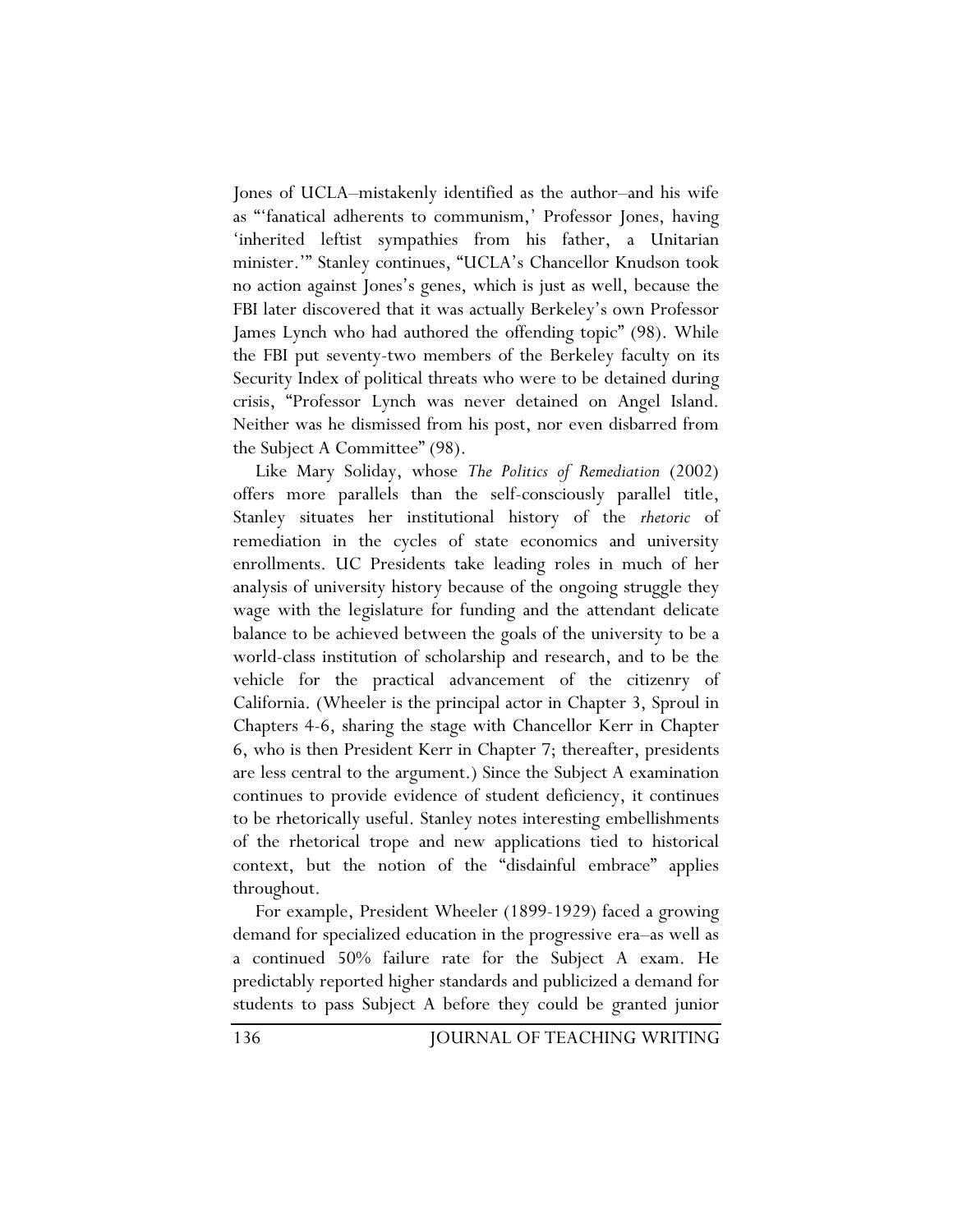Jones of UCLA–mistakenly identified as the author–and his wife as "'fanatical adherents to communism,' Professor Jones, having 'inherited leftist sympathies from his father, a Unitarian minister.'" Stanley continues, "UCLA's Chancellor Knudson took no action against Jones's genes, which is just as well, because the FBI later discovered that it was actually Berkeley's own Professor James Lynch who had authored the offending topic" (98). While the FBI put seventy-two members of the Berkeley faculty on its Security Index of political threats who were to be detained during crisis, "Professor Lynch was never detained on Angel Island. Neither was he dismissed from his post, nor even disbarred from the Subject A Committee" (98).

Like Mary Soliday, whose *The Politics of Remediation* (2002) offers more parallels than the self-consciously parallel title, Stanley situates her institutional history of the *rhetoric* of remediation in the cycles of state economics and university enrollments. UC Presidents take leading roles in much of her analysis of university history because of the ongoing struggle they wage with the legislature for funding and the attendant delicate balance to be achieved between the goals of the university to be a world-class institution of scholarship and research, and to be the vehicle for the practical advancement of the citizenry of California. (Wheeler is the principal actor in Chapter 3, Sproul in Chapters 4-6, sharing the stage with Chancellor Kerr in Chapter 6, who is then President Kerr in Chapter 7; thereafter, presidents are less central to the argument.) Since the Subject A examination continues to provide evidence of student deficiency, it continues to be rhetorically useful. Stanley notes interesting embellishments of the rhetorical trope and new applications tied to historical context, but the notion of the "disdainful embrace" applies throughout.

For example, President Wheeler (1899-1929) faced a growing demand for specialized education in the progressive era–as well as a continued 50% failure rate for the Subject A exam. He predictably reported higher standards and publicized a demand for students to pass Subject A before they could be granted junior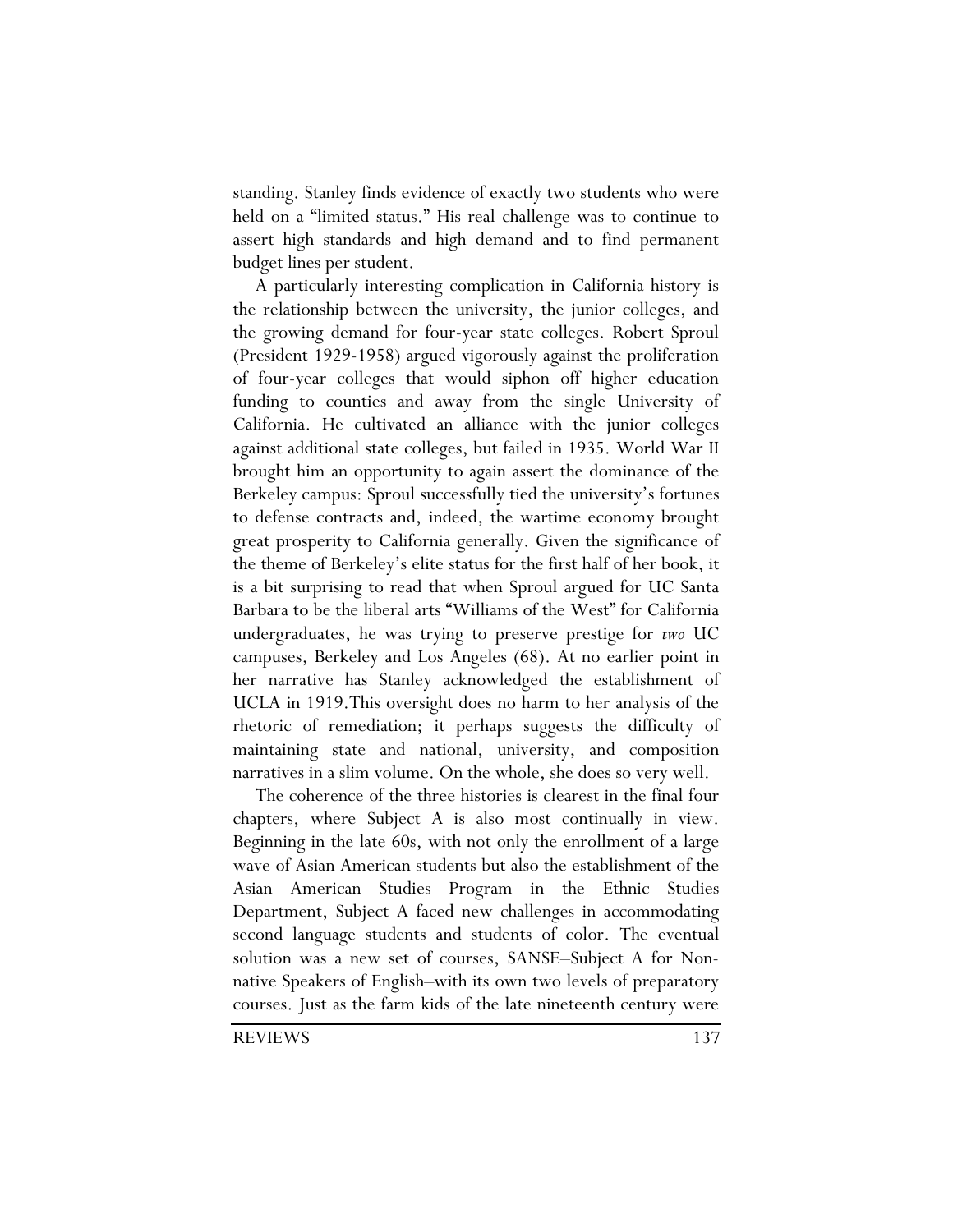standing. Stanley finds evidence of exactly two students who were held on a "limited status." His real challenge was to continue to assert high standards and high demand and to find permanent budget lines per student.

A particularly interesting complication in California history is the relationship between the university, the junior colleges, and the growing demand for four-year state colleges. Robert Sproul (President 1929-1958) argued vigorously against the proliferation of four-year colleges that would siphon off higher education funding to counties and away from the single University of California. He cultivated an alliance with the junior colleges against additional state colleges, but failed in 1935. World War II brought him an opportunity to again assert the dominance of the Berkeley campus: Sproul successfully tied the university's fortunes to defense contracts and, indeed, the wartime economy brought great prosperity to California generally. Given the significance of the theme of Berkeley's elite status for the first half of her book, it is a bit surprising to read that when Sproul argued for UC Santa Barbara to be the liberal arts "Williams of the West" for California undergraduates, he was trying to preserve prestige for *two* UC campuses, Berkeley and Los Angeles (68). At no earlier point in her narrative has Stanley acknowledged the establishment of UCLA in 1919.This oversight does no harm to her analysis of the rhetoric of remediation; it perhaps suggests the difficulty of maintaining state and national, university, and composition narratives in a slim volume. On the whole, she does so very well.

The coherence of the three histories is clearest in the final four chapters, where Subject A is also most continually in view. Beginning in the late 60s, with not only the enrollment of a large wave of Asian American students but also the establishment of the Asian American Studies Program in the Ethnic Studies Department, Subject A faced new challenges in accommodating second language students and students of color. The eventual solution was a new set of courses, SANSE–Subject A for Nonnative Speakers of English–with its own two levels of preparatory courses. Just as the farm kids of the late nineteenth century were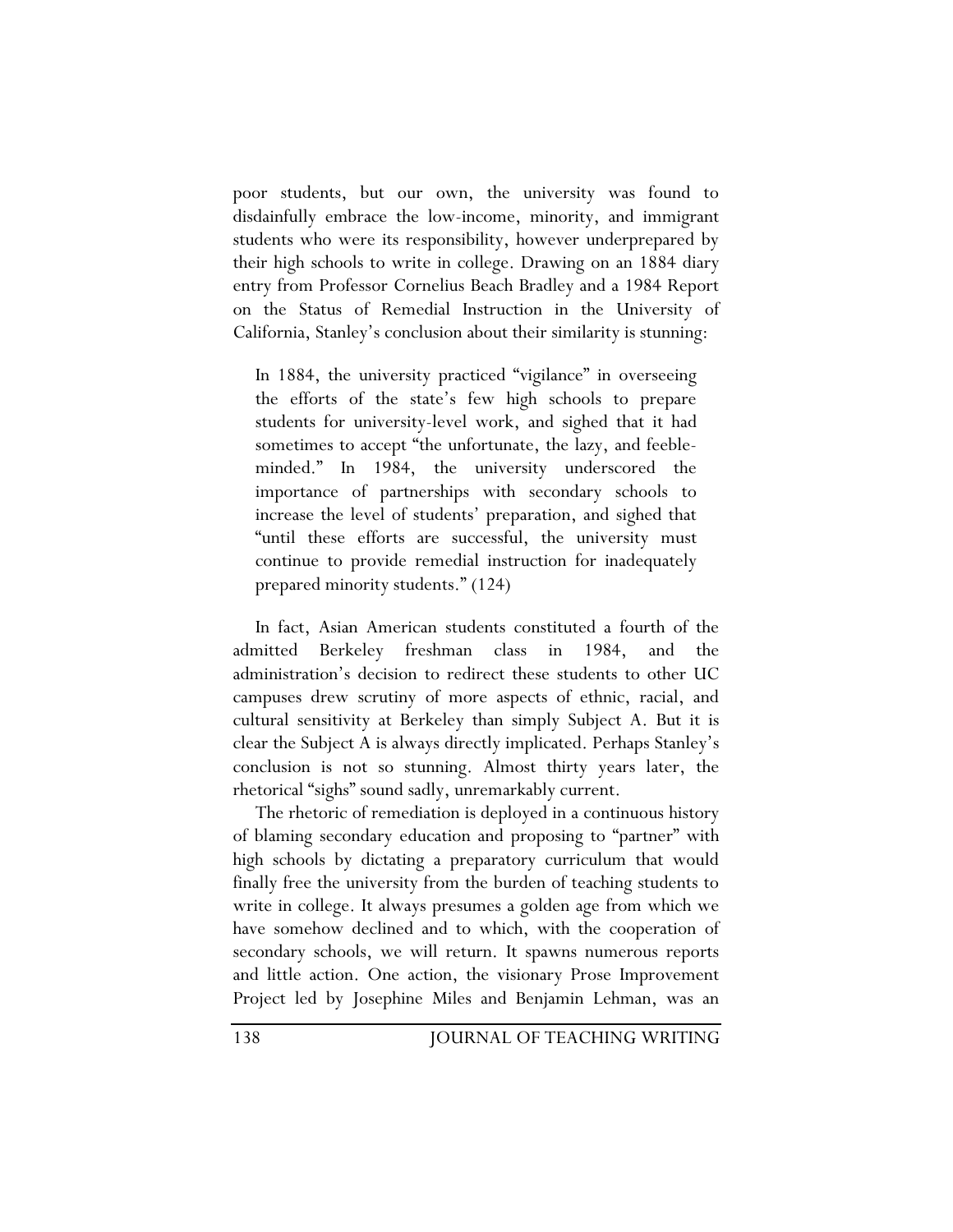poor students, but our own, the university was found to disdainfully embrace the low-income, minority, and immigrant students who were its responsibility, however underprepared by their high schools to write in college. Drawing on an 1884 diary entry from Professor Cornelius Beach Bradley and a 1984 Report on the Status of Remedial Instruction in the University of California, Stanley's conclusion about their similarity is stunning:

In 1884, the university practiced "vigilance" in overseeing the efforts of the state's few high schools to prepare students for university-level work, and sighed that it had sometimes to accept "the unfortunate, the lazy, and feebleminded." In 1984, the university underscored the importance of partnerships with secondary schools to increase the level of students' preparation, and sighed that "until these efforts are successful, the university must continue to provide remedial instruction for inadequately prepared minority students." (124)

In fact, Asian American students constituted a fourth of the admitted Berkeley freshman class in 1984, and the administration's decision to redirect these students to other UC campuses drew scrutiny of more aspects of ethnic, racial, and cultural sensitivity at Berkeley than simply Subject A. But it is clear the Subject A is always directly implicated. Perhaps Stanley's conclusion is not so stunning. Almost thirty years later, the rhetorical "sighs" sound sadly, unremarkably current.

The rhetoric of remediation is deployed in a continuous history of blaming secondary education and proposing to "partner" with high schools by dictating a preparatory curriculum that would finally free the university from the burden of teaching students to write in college. It always presumes a golden age from which we have somehow declined and to which, with the cooperation of secondary schools, we will return. It spawns numerous reports and little action. One action, the visionary Prose Improvement Project led by Josephine Miles and Benjamin Lehman, was an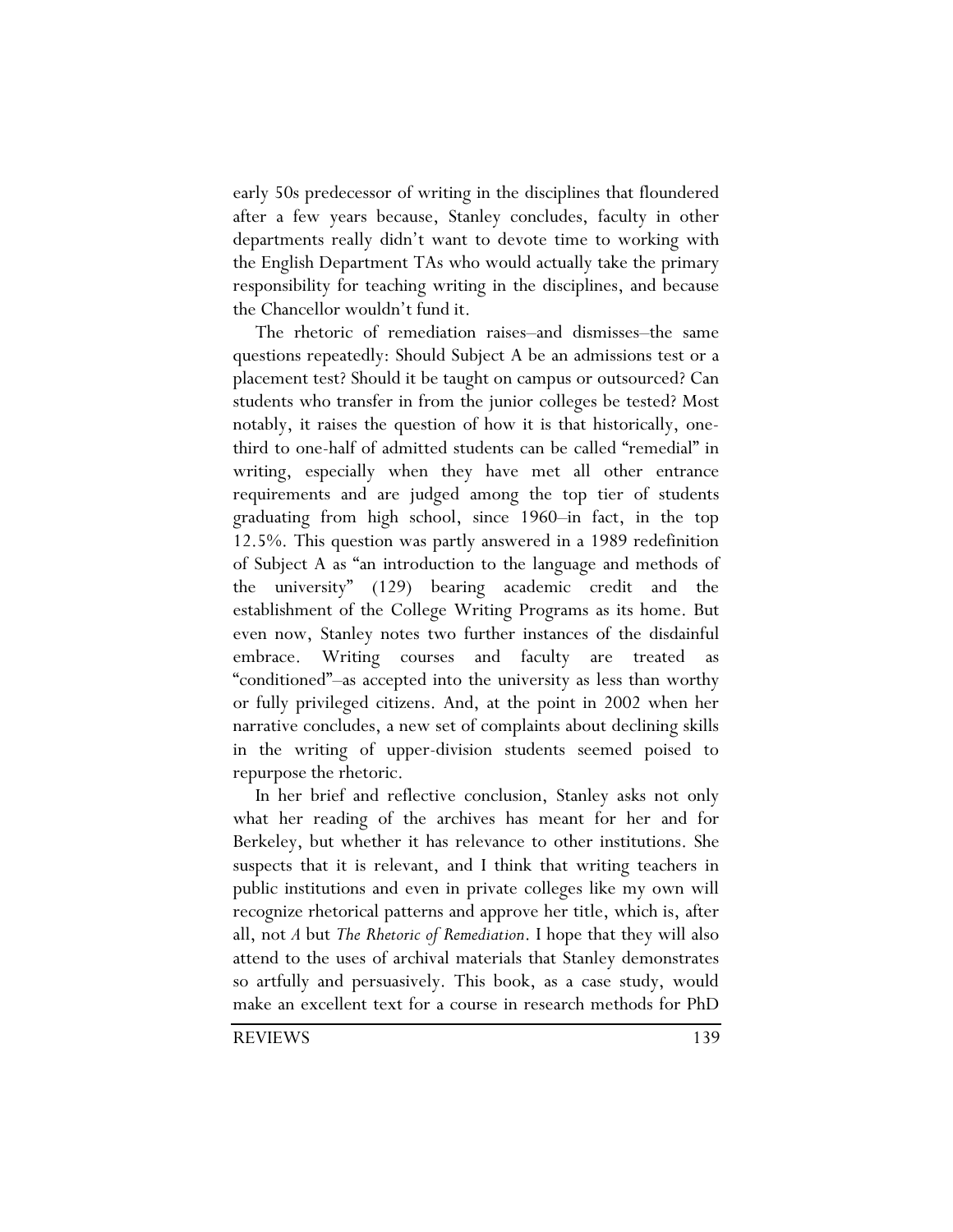early 50s predecessor of writing in the disciplines that floundered after a few years because, Stanley concludes, faculty in other departments really didn't want to devote time to working with the English Department TAs who would actually take the primary responsibility for teaching writing in the disciplines, and because the Chancellor wouldn't fund it.

The rhetoric of remediation raises–and dismisses–the same questions repeatedly: Should Subject A be an admissions test or a placement test? Should it be taught on campus or outsourced? Can students who transfer in from the junior colleges be tested? Most notably, it raises the question of how it is that historically, onethird to one-half of admitted students can be called "remedial" in writing, especially when they have met all other entrance requirements and are judged among the top tier of students graduating from high school, since 1960–in fact, in the top 12.5%. This question was partly answered in a 1989 redefinition of Subject A as "an introduction to the language and methods of the university" (129) bearing academic credit and the establishment of the College Writing Programs as its home. But even now, Stanley notes two further instances of the disdainful embrace. Writing courses and faculty are treated as "conditioned"–as accepted into the university as less than worthy or fully privileged citizens. And, at the point in 2002 when her narrative concludes, a new set of complaints about declining skills in the writing of upper-division students seemed poised to repurpose the rhetoric.

In her brief and reflective conclusion, Stanley asks not only what her reading of the archives has meant for her and for Berkeley, but whether it has relevance to other institutions. She suspects that it is relevant, and I think that writing teachers in public institutions and even in private colleges like my own will recognize rhetorical patterns and approve her title, which is, after all, not *A* but *The Rhetoric of Remediation*. I hope that they will also attend to the uses of archival materials that Stanley demonstrates so artfully and persuasively. This book, as a case study, would make an excellent text for a course in research methods for PhD